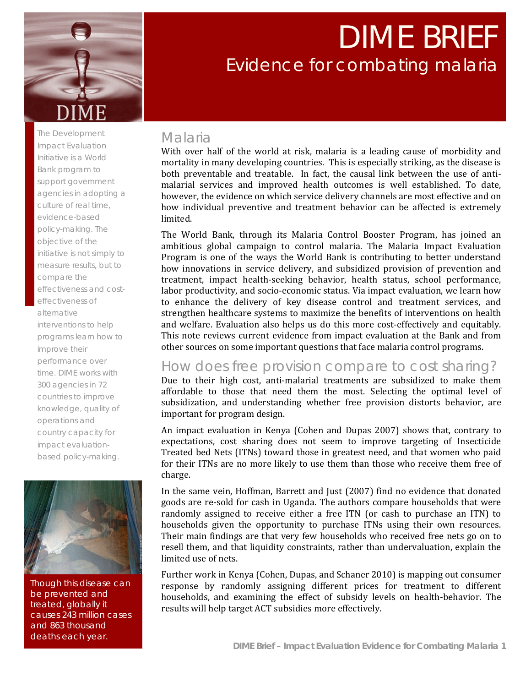

# DIME BRIEF Evidence for combating malaria

The Development Impact Evaluation Initiative is a World Bank program to support government agencies in adopting a culture of real time, evidence-based policy-making. The objective of the initiative is not simply to measure results, but to compare the effectiveness and costeffectiveness of alternative interventions to help programs learn how to improve their performance over time. DIME works with 300 agencies in 72 countries to improve knowledge, quality of operations and country capacity for impact evaluationbased policy-making.



Though this disease can be prevented and treated, globally it causes 243 million cases and 863 thousand deaths each year.

### Malaria

With over half of the world at risk, malaria is a leading cause of morbidity and mortality in many developing countries. This is especially striking, as the disease is both preventable and treatable. In fact, the causal link between the use of antimalarial services and improved health outcomes is well established. To date, however, the evidence on which service delivery channels are most effective and on how individual preventive and treatment behavior can be affected is extremely limited.

The World Bank, through its Malaria Control Booster Program, has joined an ambitious global campaign to control malaria. The Malaria Impact Evaluation Program is one of the ways the World Bank is contributing to better understand how innovations in service delivery, and subsidized provision of prevention and treatment, impact health‐seeking behavior, health status, school performance, labor productivity, and socio‐economic status. Via impact evaluation, we learn how to enhance the delivery of key disease control and treatment services, and strengthen healthcare systems to maximize the benefits of interventions on health and welfare. Evaluation also helps us do this more cost-effectively and equitably. This note reviews current evidence from impact evaluation at the Bank and from other sources on some important questions that face malaria control programs.

### How does free provision compare to cost sharing?

Due to their high cost, anti-malarial treatments are subsidized to make them affordable to those that need them the most. Selecting the optimal level of subsidization, and understanding whether free provision distorts behavior, are important for program design.

An impact evaluation in Kenya (Cohen and Dupas 2007) shows that, contrary to expectations, cost sharing does not seem to improve targeting of Insecticide Treated bed Nets (ITNs) toward those in greatest need, and that women who paid for their ITNs are no more likely to use them than those who receive them free of charge.

In the same vein, Hoffman, Barrett and Just (2007) find no evidence that donated goods are re‐sold for cash in Uganda. The authors compare households that were randomly assigned to receive either a free ITN (or cash to purchase an ITN) to households given the opportunity to purchase ITNs using their own resources. Their main findings are that very few households who received free nets go on to resell them, and that liquidity constraints, rather than undervaluation, explain the limited use of nets.

Further work in Kenya (Cohen, Dupas, and Schaner 2010) is mapping out consumer response by randomly assigning different prices for treatment to different households, and examining the effect of subsidy levels on health-behavior. The results will help target ACT subsidies more effectively.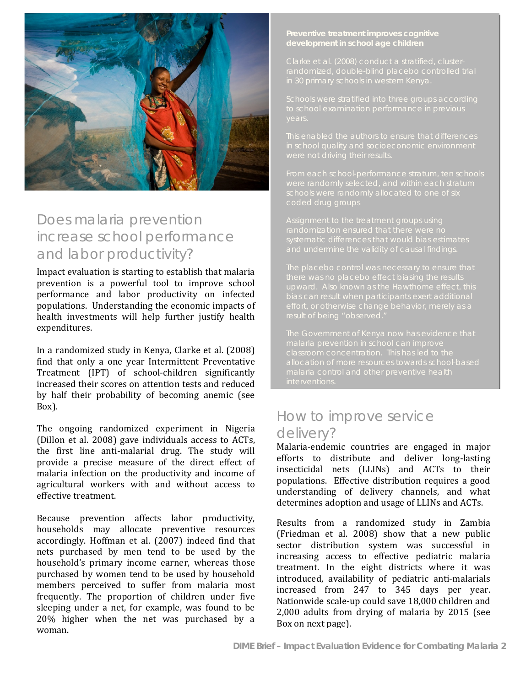

## Does malaria prevention increase school performance and labor productivity?

Impact evaluation is starting to establish that malaria prevention is a powerful tool to improve school performance and labor productivity on infected populations. Understanding the economic impacts of health investments will help further justify health expenditures.

In a randomized study in Kenya, Clarke et al. (2008) find that only a one year Intermittent Preventative Treatment (IPT) of school‐children significantly increased their scores on attention tests and reduced by half their probability of becoming anemic (see Box).

effective treatment. The ongoing randomized experiment in Nigeria (Dillon et al. 2008) gave individuals access to ACTs, the first line anti-malarial drug. The study will provide a precise measure of the direct effect of malaria infection on the productivity and income of agricultural workers with and without access to

Because prevention affects labor productivity, households may allocate preventive resources accordingly. Hoffman et al. (2007) indeed find that nets purchased by men tend to be used by the household's primary income earner, whereas those purchased by women tend to be used by household members perceived to suffer from malaria most frequently. The proportion of children under five sleeping under a net, for example, was found to be 20% higher when the net was purchased by a woman.

#### **Preventive treatment improves cognitive development in school age children**

### How to improve service delivery?

Malaria‐endemic countries are engaged in major efforts to distribute and deliver long‐lasting insecticidal nets (LLINs) and ACTs to their populations. Effective distribution requires a good understanding of delivery channels, and what determines adoption and usage of LLINs and ACTs.

Results from a randomized study in Zambia (Friedman et al. 2008) show that a new public sector distribution system was successful in increasing access to effective pediatric malaria treatment. In the eight districts where it was introduced, availability of pediatric anti-malarials increased from 247 to 345 days per year. Nationwide scale‐up could save 18,000 children and 2,000 adults from drying of malaria by 2015 (see Box on next page).